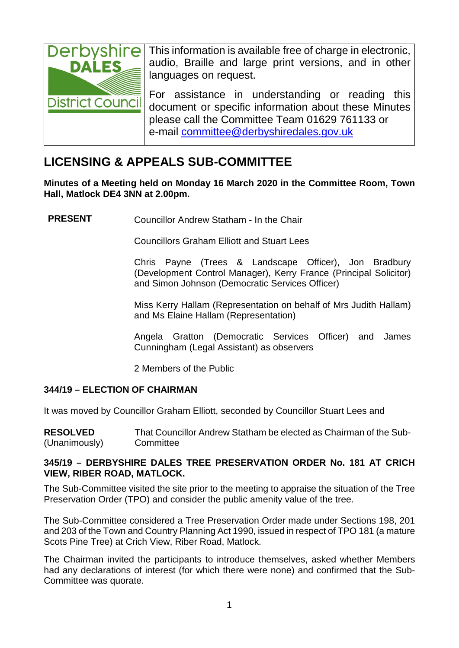

This information is available free of charge in electronic, audio, Braille and large print versions, and in other languages on request.

For assistance in understanding or reading this document or specific information about these Minutes please call the Committee Team 01629 761133 or e-mail [committee@derbyshiredales.gov.uk](mailto:committee@derbyshiredales.gov.uk)

### **LICENSING & APPEALS SUB-COMMITTEE**

**Minutes of a Meeting held on Monday 16 March 2020 in the Committee Room, Town Hall, Matlock DE4 3NN at 2.00pm.**

**PRESENT** Councillor Andrew Statham - In the Chair

Councillors Graham Elliott and Stuart Lees

Chris Payne (Trees & Landscape Officer), Jon Bradbury (Development Control Manager), Kerry France (Principal Solicitor) and Simon Johnson (Democratic Services Officer)

Miss Kerry Hallam (Representation on behalf of Mrs Judith Hallam) and Ms Elaine Hallam (Representation)

Angela Gratton (Democratic Services Officer) and James Cunningham (Legal Assistant) as observers

2 Members of the Public

### **344/19 – ELECTION OF CHAIRMAN**

It was moved by Councillor Graham Elliott, seconded by Councillor Stuart Lees and

**RESOLVED** (Unanimously) That Councillor Andrew Statham be elected as Chairman of the Sub-**Committee** 

### **345/19 – DERBYSHIRE DALES TREE PRESERVATION ORDER No. 181 AT CRICH VIEW, RIBER ROAD, MATLOCK.**

The Sub-Committee visited the site prior to the meeting to appraise the situation of the Tree Preservation Order (TPO) and consider the public amenity value of the tree.

The Sub-Committee considered a Tree Preservation Order made under Sections 198, 201 and 203 of the Town and Country Planning Act 1990, issued in respect of TPO 181 (a mature Scots Pine Tree) at Crich View, Riber Road, Matlock.

The Chairman invited the participants to introduce themselves, asked whether Members had any declarations of interest (for which there were none) and confirmed that the Sub-Committee was quorate.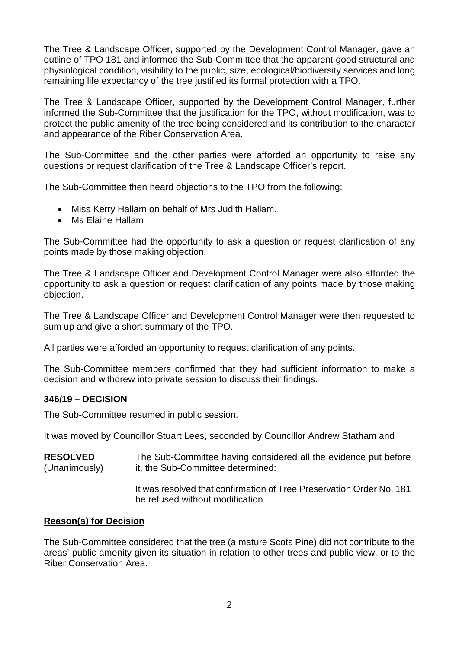The Tree & Landscape Officer, supported by the Development Control Manager, gave an outline of TPO 181 and informed the Sub-Committee that the apparent good structural and physiological condition, visibility to the public, size, ecological/biodiversity services and long remaining life expectancy of the tree justified its formal protection with a TPO.

The Tree & Landscape Officer, supported by the Development Control Manager, further informed the Sub-Committee that the justification for the TPO, without modification, was to protect the public amenity of the tree being considered and its contribution to the character and appearance of the Riber Conservation Area.

The Sub-Committee and the other parties were afforded an opportunity to raise any questions or request clarification of the Tree & Landscape Officer's report.

The Sub-Committee then heard objections to the TPO from the following:

- Miss Kerry Hallam on behalf of Mrs Judith Hallam.
- Ms Elaine Hallam

The Sub-Committee had the opportunity to ask a question or request clarification of any points made by those making objection.

The Tree & Landscape Officer and Development Control Manager were also afforded the opportunity to ask a question or request clarification of any points made by those making objection.

The Tree & Landscape Officer and Development Control Manager were then requested to sum up and give a short summary of the TPO.

All parties were afforded an opportunity to request clarification of any points.

The Sub-Committee members confirmed that they had sufficient information to make a decision and withdrew into private session to discuss their findings.

### **346/19 – DECISION**

The Sub-Committee resumed in public session.

It was moved by Councillor Stuart Lees, seconded by Councillor Andrew Statham and

**RESOLVED** (Unanimously) The Sub-Committee having considered all the evidence put before it, the Sub-Committee determined:

> It was resolved that confirmation of Tree Preservation Order No. 181 be refused without modification

### **Reason(s) for Decision**

The Sub-Committee considered that the tree (a mature Scots Pine) did not contribute to the areas' public amenity given its situation in relation to other trees and public view, or to the Riber Conservation Area.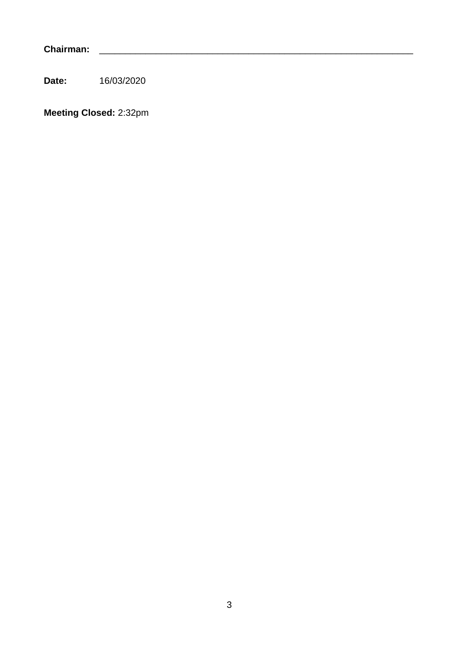**Chairman:** \_\_\_\_\_\_\_\_\_\_\_\_\_\_\_\_\_\_\_\_\_\_\_\_\_\_\_\_\_\_\_\_\_\_\_\_\_\_\_\_\_\_\_\_\_\_\_\_\_\_\_\_\_\_\_\_\_\_\_\_\_

**Date:** 16/03/2020

**Meeting Closed:** 2:32pm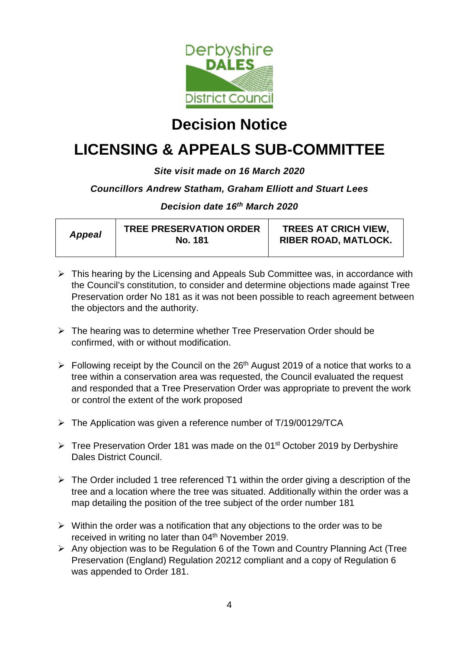

## **Decision Notice**

# **LICENSING & APPEALS SUB-COMMITTEE**

### *Site visit made on 16 March 2020*

### *Councillors Andrew Statham, Graham Elliott and Stuart Lees*

*Decision date 16th March 2020*

| <b>Appeal</b> | <b>TREE PRESERVATION ORDER</b><br><b>No. 181</b> | <b>TREES AT CRICH VIEW,</b><br><b>RIBER ROAD, MATLOCK.</b> |
|---------------|--------------------------------------------------|------------------------------------------------------------|
|---------------|--------------------------------------------------|------------------------------------------------------------|

- $\triangleright$  This hearing by the Licensing and Appeals Sub Committee was, in accordance with the Council's constitution, to consider and determine objections made against Tree Preservation order No 181 as it was not been possible to reach agreement between the objectors and the authority.
- $\triangleright$  The hearing was to determine whether Tree Preservation Order should be confirmed, with or without modification.
- $\triangleright$  Following receipt by the Council on the 26<sup>th</sup> August 2019 of a notice that works to a tree within a conservation area was requested, the Council evaluated the request and responded that a Tree Preservation Order was appropriate to prevent the work or control the extent of the work proposed
- $\triangleright$  The Application was given a reference number of T/19/00129/TCA
- $\triangleright$  Tree Preservation Order 181 was made on the 01<sup>st</sup> October 2019 by Derbyshire Dales District Council.
- $\triangleright$  The Order included 1 tree referenced T1 within the order giving a description of the tree and a location where the tree was situated. Additionally within the order was a map detailing the position of the tree subject of the order number 181
- $\triangleright$  Within the order was a notification that any objections to the order was to be received in writing no later than 04<sup>th</sup> November 2019.
- $\triangleright$  Any objection was to be Regulation 6 of the Town and Country Planning Act (Tree Preservation (England) Regulation 20212 compliant and a copy of Regulation 6 was appended to Order 181.